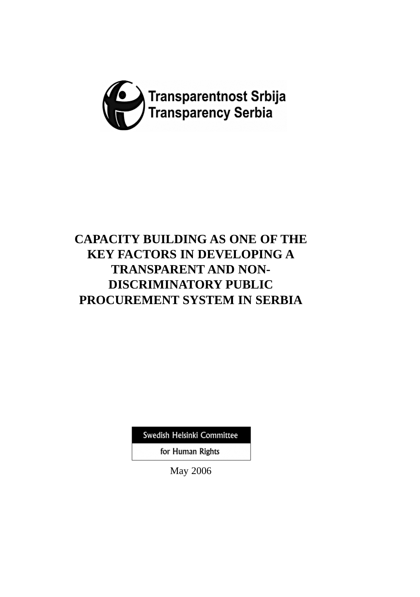

# **CAPACITY BUILDING AS ONE OF THE KEY FACTORS IN DEVELOPING A TRANSPARENT AND NON-DISCRIMINATORY PUBLIC PROCUREMENT SYSTEM IN SERBIA**

Swedish Helsinki Committee

for Human Rights

May 2006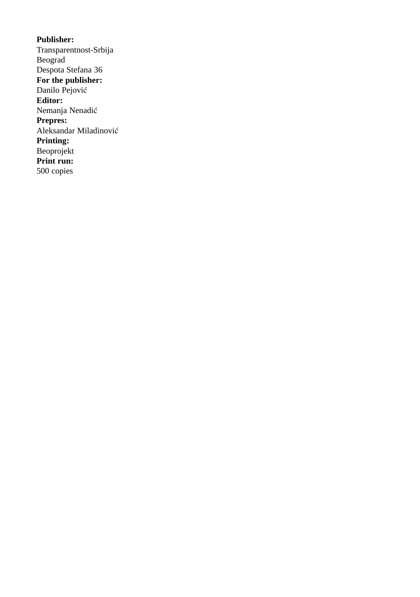**Publisher:** Transparentnost-Srbija Beograd Despota Stefana 36 **For the publisher:** Danilo Pejović **Editor:** Nemanja Nenadić **Prepres:** Aleksandar Miladinović **Printing:** Beoprojekt **Print run:** 500 copies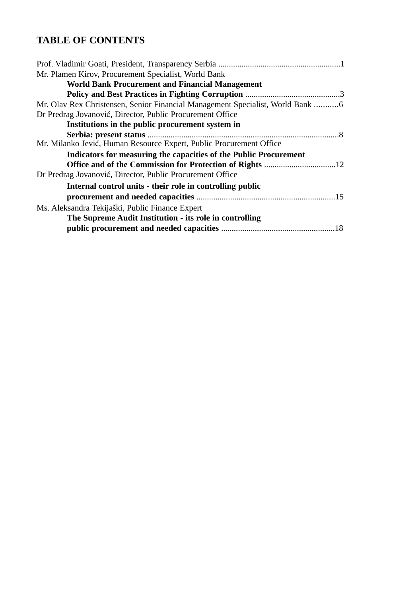## **TABLE OF CONTENTS**

| Mr. Plamen Kirov, Procurement Specialist, World Bank                           |
|--------------------------------------------------------------------------------|
| <b>World Bank Procurement and Financial Management</b>                         |
|                                                                                |
| Mr. Olav Rex Christensen, Senior Financial Management Specialist, World Bank 6 |
| Dr Predrag Jovanović, Director, Public Procurement Office                      |
| Institutions in the public procurement system in                               |
|                                                                                |
| Mr. Milanko Jević, Human Resource Expert, Public Procurement Office            |
| Indicators for measuring the capacities of the Public Procurement              |
|                                                                                |
| Dr Predrag Jovanović, Director, Public Procurement Office                      |
| Internal control units - their role in controlling public                      |
|                                                                                |
| Ms. Aleksandra Tekijaški, Public Finance Expert                                |
| The Supreme Audit Institution - its role in controlling                        |
|                                                                                |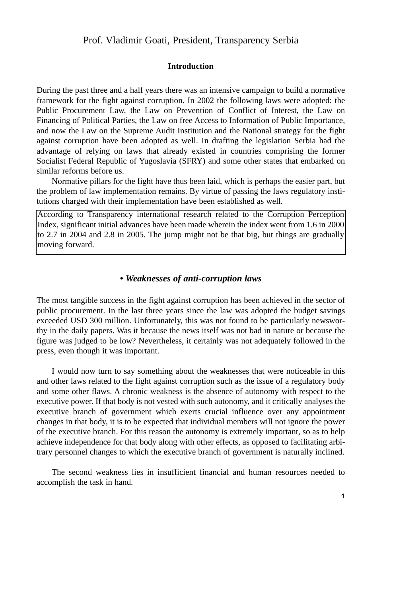## Prof. Vladimir Goati, President, Transparency Serbia

#### **Introduction**

During the past three and a half years there was an intensive campaign to build a normative framework for the fight against corruption. In 2002 the following laws were adopted: the Public Procurement Law, the Law on Prevention of Conflict of Interest, the Law on Financing of Political Parties, the Law on free Access to Information of Public Importance, and now the Law on the Supreme Audit Institution and the National strategy for the fight against corruption have been adopted as well. In drafting the legislation Serbia had the advantage of relying on laws that already existed in countries comprising the former Socialist Federal Republic of Yugoslavia (SFRY) and some other states that embarked on similar reforms before us.

Normative pillars for the fight have thus been laid, which is perhaps the easier part, but the problem of law implementation remains. By virtue of passing the laws regulatory institutions charged with their implementation have been established as well.

According to Transparency international research related to the Corruption Perception Index, significant initial advances have been made wherein the index went from 1.6 in 2000 to 2.7 in 2004 and 2.8 in 2005. The jump might not be that big, but things are gradually moving forward.

### *• Weaknesses of anti-corruption laws*

The most tangible success in the fight against corruption has been achieved in the sector of public procurement. In the last three years since the law was adopted the budget savings exceeded USD 300 million. Unfortunately, this was not found to be particularly newsworthy in the daily papers. Was it because the news itself was not bad in nature or because the figure was judged to be low? Nevertheless, it certainly was not adequately followed in the press, even though it was important.

I would now turn to say something about the weaknesses that were noticeable in this and other laws related to the fight against corruption such as the issue of a regulatory body and some other flaws. A chronic weakness is the absence of autonomy with respect to the executive power. If that body is not vested with such autonomy, and it critically analyses the executive branch of government which exerts crucial influence over any appointment changes in that body, it is to be expected that individual members will not ignore the power of the executive branch. For this reason the autonomy is extremely important, so as to help achieve independence for that body along with other effects, as opposed to facilitating arbitrary personnel changes to which the executive branch of government is naturally inclined.

The second weakness lies in insufficient financial and human resources needed to accomplish the task in hand.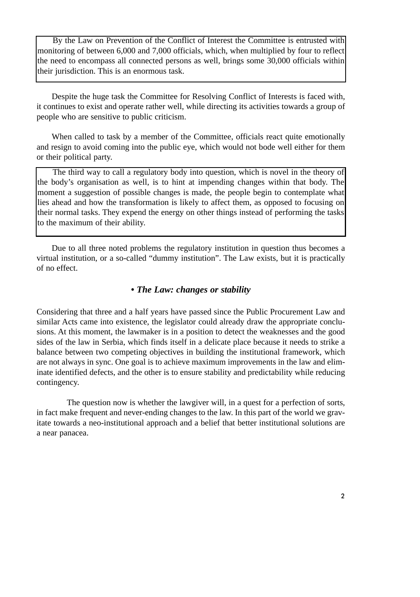By the Law on Prevention of the Conflict of Interest the Committee is entrusted with monitoring of between 6,000 and 7,000 officials, which, when multiplied by four to reflect the need to encompass all connected persons as well, brings some 30,000 officials within their jurisdiction. This is an enormous task.

Despite the huge task the Committee for Resolving Conflict of Interests is faced with, it continues to exist and operate rather well, while directing its activities towards a group of people who are sensitive to public criticism.

When called to task by a member of the Committee, officials react quite emotionally and resign to avoid coming into the public eye, which would not bode well either for them or their political party.

The third way to call a regulatory body into question, which is novel in the theory of the body's organisation as well, is to hint at impending changes within that body. The moment a suggestion of possible changes is made, the people begin to contemplate what lies ahead and how the transformation is likely to affect them, as opposed to focusing on their normal tasks. They expend the energy on other things instead of performing the tasks to the maximum of their ability.

Due to all three noted problems the regulatory institution in question thus becomes a virtual institution, or a so-called "dummy institution". The Law exists, but it is practically of no effect.

## *• The Law: changes or stability*

Considering that three and a half years have passed since the Public Procurement Law and similar Acts came into existence, the legislator could already draw the appropriate conclusions. At this moment, the lawmaker is in a position to detect the weaknesses and the good sides of the law in Serbia, which finds itself in a delicate place because it needs to strike a balance between two competing objectives in building the institutional framework, which are not always in sync. One goal is to achieve maximum improvements in the law and eliminate identified defects, and the other is to ensure stability and predictability while reducing contingency.

The question now is whether the lawgiver will, in a quest for a perfection of sorts, in fact make frequent and never-ending changes to the law. In this part of the world we gravitate towards a neo-institutional approach and a belief that better institutional solutions are a near panacea.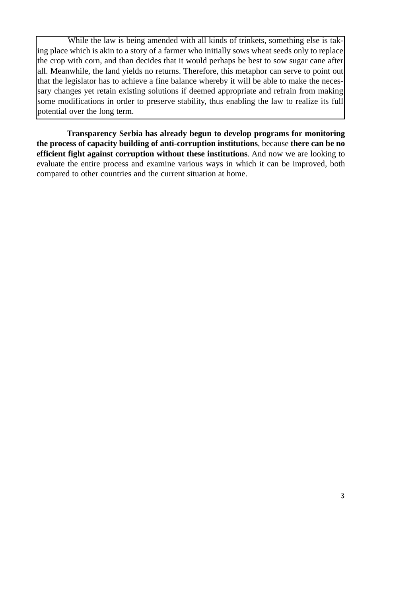While the law is being amended with all kinds of trinkets, something else is taking place which is akin to a story of a farmer who initially sows wheat seeds only to replace the crop with corn, and than decides that it would perhaps be best to sow sugar cane after all. Meanwhile, the land yields no returns. Therefore, this metaphor can serve to point out that the legislator has to achieve a fine balance whereby it will be able to make the necessary changes yet retain existing solutions if deemed appropriate and refrain from making some modifications in order to preserve stability, thus enabling the law to realize its full potential over the long term.

**Transparency Serbia has already begun to develop programs for monitoring the process of capacity building of anti-corruption institutions**, because **there can be no efficient fight against corruption without these institutions**. And now we are looking to evaluate the entire process and examine various ways in which it can be improved, both compared to other countries and the current situation at home.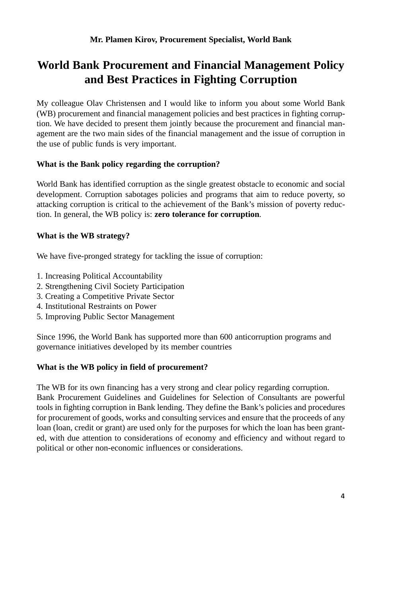# **World Bank Procurement and Financial Management Policy and Best Practices in Fighting Corruption**

My colleague Olav Christensen and I would like to inform you about some World Bank (WB) procurement and financial management policies and best practices in fighting corruption. We have decided to present them jointly because the procurement and financial management are the two main sides of the financial management and the issue of corruption in the use of public funds is very important.

## **What is the Bank policy regarding the corruption?**

World Bank has identified corruption as the single greatest obstacle to economic and social development. Corruption sabotages policies and programs that aim to reduce poverty, so attacking corruption is critical to the achievement of the Bank's mission of poverty reduction. In general, the WB policy is: **zero tolerance for corruption**.

## **What is the WB strategy?**

We have five-pronged strategy for tackling the issue of corruption:

- 1. Increasing Political Accountability
- 2. Strengthening Civil Society Participation
- 3. Creating a Competitive Private Sector
- 4. Institutional Restraints on Power
- 5. Improving Public Sector Management

Since 1996, the World Bank has supported more than 600 anticorruption programs and governance initiatives developed by its member countries

## **What is the WB policy in field of procurement?**

The WB for its own financing has a very strong and clear policy regarding corruption. Bank Procurement Guidelines and Guidelines for Selection of Consultants are powerful tools in fighting corruption in Bank lending. They define the Bank's policies and procedures for procurement of goods, works and consulting services and ensure that the proceeds of any loan (loan, credit or grant) are used only for the purposes for which the loan has been granted, with due attention to considerations of economy and efficiency and without regard to political or other non-economic influences or considerations.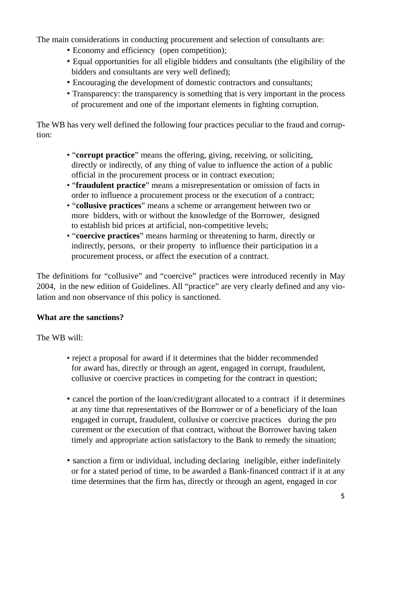The main considerations in conducting procurement and selection of consultants are:

- Economy and efficiency (open competition);
- Equal opportunities for all eligible bidders and consultants (the eligibility of the bidders and consultants are very well defined);
- Encouraging the development of domestic contractors and consultants;
- Transparency: the transparency is something that is very important in the process of procurement and one of the important elements in fighting corruption.

The WB has very well defined the following four practices peculiar to the fraud and corruption:

- "**corrupt practice**" means the offering, giving, receiving, or soliciting, directly or indirectly, of any thing of value to influence the action of a public official in the procurement process or in contract execution;
- "**fraudulent practice**" means a misrepresentation or omission of facts in order to influence a procurement process or the execution of a contract;
- "**collusive practices**" means a scheme or arrangement between two or more bidders, with or without the knowledge of the Borrower, designed to establish bid prices at artificial, non-competitive levels;
- "**coercive practices**" means harming or threatening to harm, directly or indirectly, persons, or their property to influence their participation in a procurement process, or affect the execution of a contract.

The definitions for "collusive" and "coercive" practices were introduced recently in May 2004, in the new edition of Guidelines. All "practice" are very clearly defined and any violation and non observance of this policy is sanctioned.

## **What are the sanctions?**

The WB will:

- reject a proposal for award if it determines that the bidder recommended for award has, directly or through an agent, engaged in corrupt, fraudulent, collusive or coercive practices in competing for the contract in question;
- cancel the portion of the loan/credit/grant allocated to a contract if it determines at any time that representatives of the Borrower or of a beneficiary of the loan engaged in corrupt, fraudulent, collusive or coercive practices during the pro curement or the execution of that contract, without the Borrower having taken timely and appropriate action satisfactory to the Bank to remedy the situation;
- sanction a firm or individual, including declaring ineligible, either indefinitely or for a stated period of time, to be awarded a Bank-financed contract if it at any time determines that the firm has, directly or through an agent, engaged in cor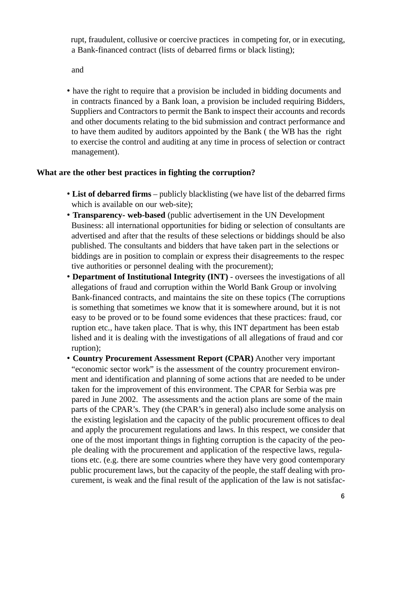rupt, fraudulent, collusive or coercive practices in competing for, or in executing, a Bank-financed contract (lists of debarred firms or black listing);

and

• have the right to require that a provision be included in bidding documents and in contracts financed by a Bank loan, a provision be included requiring Bidders, Suppliers and Contractors to permit the Bank to inspect their accounts and records and other documents relating to the bid submission and contract performance and to have them audited by auditors appointed by the Bank ( the WB has the right to exercise the control and auditing at any time in process of selection or contract management).

#### **What are the other best practices in fighting the corruption?**

- **List of debarred firms** publicly blacklisting (we have list of the debarred firms which is available on our web-site);
- **Transparency- web-based** (public advertisement in the UN Development Business: all international opportunities for biding or selection of consultants are advertised and after that the results of these selections or biddings should be also published. The consultants and bidders that have taken part in the selections or biddings are in position to complain or express their disagreements to the respec tive authorities or personnel dealing with the procurement);
- **Department of Institutional Integrity (INT)** oversees the investigations of all allegations of fraud and corruption within the World Bank Group or involving Bank-financed contracts, and maintains the site on these topics (The corruptions is something that sometimes we know that it is somewhere around, but it is not easy to be proved or to be found some evidences that these practices: fraud, cor ruption etc., have taken place. That is why, this INT department has been estab lished and it is dealing with the investigations of all allegations of fraud and cor ruption);
- **Country Procurement Assessment Report (CPAR)** Another very important "economic sector work" is the assessment of the country procurement environment and identification and planning of some actions that are needed to be under taken for the improvement of this environment. The CPAR for Serbia was pre pared in June 2002. The assessments and the action plans are some of the main parts of the CPAR's. They (the CPAR's in general) also include some analysis on the existing legislation and the capacity of the public procurement offices to deal and apply the procurement regulations and laws. In this respect, we consider that one of the most important things in fighting corruption is the capacity of the people dealing with the procurement and application of the respective laws, regulations etc. (e.g. there are some countries where they have very good contemporary public procurement laws, but the capacity of the people, the staff dealing with procurement, is weak and the final result of the application of the law is not satisfac-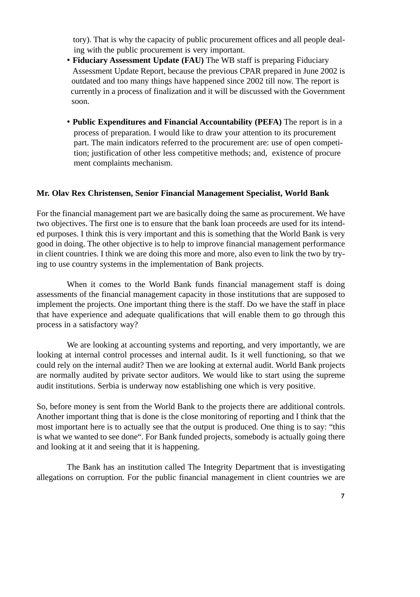tory). That is why the capacity of public procurement offices and all people dealing with the public procurement is very important.

- **Fiduciary Assessment Update (FAU)** The WB staff is preparing Fiduciary Assessment Update Report, because the previous CPAR prepared in June 2002 is outdated and too many things have happened since 2002 till now. The report is currently in a process of finalization and it will be discussed with the Government soon.
- **Public Expenditures and Financial Accountability (PEFA)** The report is in a process of preparation. I would like to draw your attention to its procurement part. The main indicators referred to the procurement are: use of open competition; justification of other less competitive methods; and, existence of procure ment complaints mechanism.

#### **Mr. Olav Rex Christensen, Senior Financial Management Specialist, World Bank**

For the financial management part we are basically doing the same as procurement. We have two objectives. The first one is to ensure that the bank loan proceeds are used for its intended purposes. I think this is very important and this is something that the World Bank is very good in doing. The other objective is to help to improve financial management performance in client countries. I think we are doing this more and more, also even to link the two by trying to use country systems in the implementation of Bank projects.

When it comes to the World Bank funds financial management staff is doing assessments of the financial management capacity in those institutions that are supposed to implement the projects. One important thing there is the staff. Do we have the staff in place that have experience and adequate qualifications that will enable them to go through this process in a satisfactory way?

We are looking at accounting systems and reporting, and very importantly, we are looking at internal control processes and internal audit. Is it well functioning, so that we could rely on the internal audit? Then we are looking at external audit. World Bank projects are normally audited by private sector auditors. We would like to start using the supreme audit institutions. Serbia is underway now establishing one which is very positive.

So, before money is sent from the World Bank to the projects there are additional controls. Another important thing that is done is the close monitoring of reporting and I think that the most important here is to actually see that the output is produced. One thing is to say: "this is what we wanted to see done". For Bank funded projects, somebody is actually going there and looking at it and seeing that it is happening.

The Bank has an institution called The Integrity Department that is investigating allegations on corruption. For the public financial management in client countries we are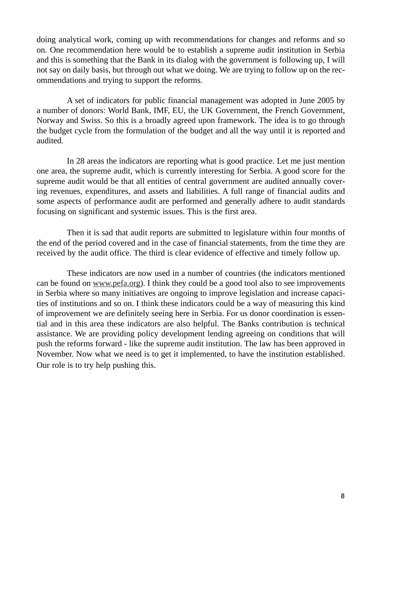doing analytical work, coming up with recommendations for changes and reforms and so on. One recommendation here would be to establish a supreme audit institution in Serbia and this is something that the Bank in its dialog with the government is following up, I will not say on daily basis, but through out what we doing. We are trying to follow up on the recommendations and trying to support the reforms.

A set of indicators for public financial management was adopted in June 2005 by a number of donors: World Bank, IMF, EU, the UK Government, the French Government, Norway and Swiss. So this is a broadly agreed upon framework. The idea is to go through the budget cycle from the formulation of the budget and all the way until it is reported and audited.

In 28 areas the indicators are reporting what is good practice. Let me just mention one area, the supreme audit, which is currently interesting for Serbia. A good score for the supreme audit would be that all entities of central government are audited annually covering revenues, expenditures, and assets and liabilities. A full range of financial audits and some aspects of performance audit are performed and generally adhere to audit standards focusing on significant and systemic issues. This is the first area.

Then it is sad that audit reports are submitted to legislature within four months of the end of the period covered and in the case of financial statements, from the time they are received by the audit office. The third is clear evidence of effective and timely follow up.

These indicators are now used in a number of countries (the indicators mentioned can be found on www.pefa.org). I think they could be a good tool also to see improvements in Serbia where so many initiatives are ongoing to improve legislation and increase capacities of institutions and so on. I think these indicators could be a way of measuring this kind of improvement we are definitely seeing here in Serbia. For us donor coordination is essential and in this area these indicators are also helpful. The Banks contribution is technical assistance. We are providing policy development lending agreeing on conditions that will push the reforms forward - like the supreme audit institution. The law has been approved in November. Now what we need is to get it implemented, to have the institution established. Our role is to try help pushing this.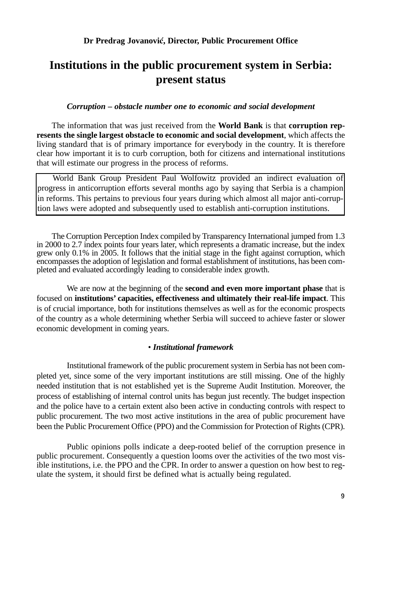## **Institutions in the public procurement system in Serbia: present status**

#### *Corruption – obstacle number one to economic and social development*

The information that was just received from the **World Bank** is that **corruption represents the single largest obstacle to economic and social development**, which affects the living standard that is of primary importance for everybody in the country. It is therefore clear how important it is to curb corruption, both for citizens and international institutions that will estimate our progress in the process of reforms.

World Bank Group President Paul Wolfowitz provided an indirect evaluation of progress in anticorruption efforts several months ago by saying that Serbia is a champion in reforms. This pertains to previous four years during which almost all major anti-corruption laws were adopted and subsequently used to establish anti-corruption institutions.

The Corruption Perception Index compiled by Transparency International jumped from 1.3 in 2000 to 2.7 index points four years later, which represents a dramatic increase, but the index grew only 0.1% in 2005. It follows that the initial stage in the fight against corruption, which encompasses the adoption of legislation and formal establishment of institutions, has been completed and evaluated accordingly leading to considerable index growth.

We are now at the beginning of the **second and even more important phase** that is focused on **institutions' capacities, effectiveness and ultimately their real-life impact**. This is of crucial importance, both for institutions themselves as well as for the economic prospects of the country as a whole determining whether Serbia will succeed to achieve faster or slower economic development in coming years.

#### • *Institutional framework*

Institutional framework of the public procurement system in Serbia has not been completed yet, since some of the very important institutions are still missing. One of the highly needed institution that is not established yet is the Supreme Audit Institution. Moreover, the process of establishing of internal control units has begun just recently. The budget inspection and the police have to a certain extent also been active in conducting controls with respect to public procurement. The two most active institutions in the area of public procurement have been the Public Procurement Office (PPO) and the Commission for Protection of Rights (CPR).

Public opinions polls indicate a deep-rooted belief of the corruption presence in public procurement. Consequently a question looms over the activities of the two most visible institutions, i.e. the PPO and the CPR. In order to answer a question on how best to regulate the system, it should first be defined what is actually being regulated.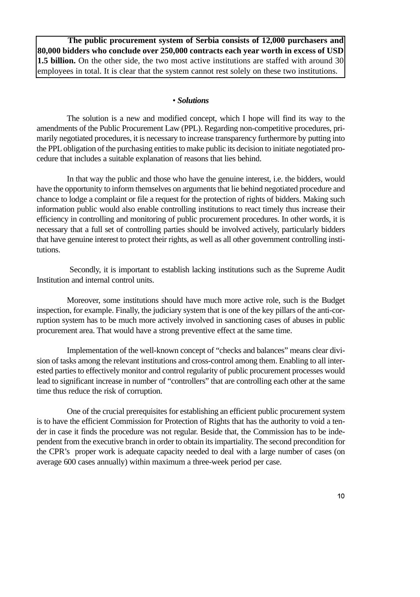**The public procurement system of Serbia consists of 12,000 purchasers and 80,000 bidders who conclude over 250,000 contracts each year worth in excess of USD 1.5 billion.** On the other side, the two most active institutions are staffed with around 30 employees in total. It is clear that the system cannot rest solely on these two institutions.

## • *Solutions*

The solution is a new and modified concept, which I hope will find its way to the amendments of the Public Procurement Law (PPL). Regarding non-competitive procedures, primarily negotiated procedures, it is necessary to increase transparency furthermore by putting into the PPL obligation of the purchasing entities to make public its decision to initiate negotiated procedure that includes a suitable explanation of reasons that lies behind.

In that way the public and those who have the genuine interest, i.e. the bidders, would have the opportunity to inform themselves on arguments that lie behind negotiated procedure and chance to lodge a complaint or file a request for the protection of rights of bidders. Making such information public would also enable controlling institutions to react timely thus increase their efficiency in controlling and monitoring of public procurement procedures. In other words, it is necessary that a full set of controlling parties should be involved actively, particularly bidders that have genuine interest to protect their rights, as well as all other government controlling institutions.

Secondly, it is important to establish lacking institutions such as the Supreme Audit Institution and internal control units.

Moreover, some institutions should have much more active role, such is the Budget inspection, for example. Finally, the judiciary system that is one of the key pillars of the anti-corruption system has to be much more actively involved in sanctioning cases of abuses in public procurement area. That would have a strong preventive effect at the same time.

Implementation of the well-known concept of "checks and balances" means clear division of tasks among the relevant institutions and cross-control among them. Enabling to all interested parties to effectively monitor and control regularity of public procurement processes would lead to significant increase in number of "controllers" that are controlling each other at the same time thus reduce the risk of corruption.

One of the crucial prerequisites for establishing an efficient public procurement system is to have the efficient Commission for Protection of Rights that has the authority to void a tender in case it finds the procedure was not regular. Beside that, the Commission has to be independent from the executive branch in order to obtain its impartiality. The second precondition for the CPR's proper work is adequate capacity needed to deal with a large number of cases (on average 600 cases annually) within maximum a three-week period per case.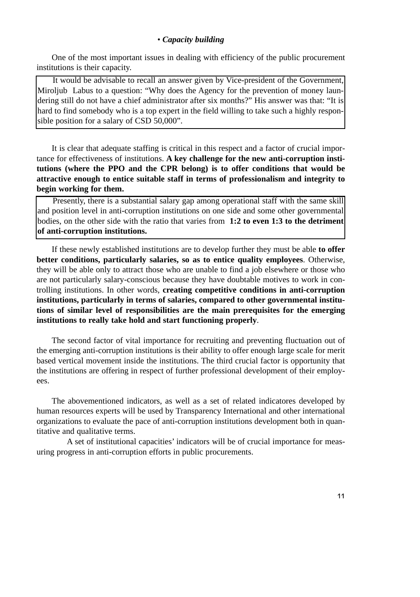One of the most important issues in dealing with efficiency of the public procurement institutions is their capacity.

It would be advisable to recall an answer given by Vice-president of the Government, Miroljub Labus to a question: "Why does the Agency for the prevention of money laundering still do not have a chief administrator after six months?" His answer was that: "It is hard to find somebody who is a top expert in the field willing to take such a highly responsible position for a salary of CSD 50,000".

It is clear that adequate staffing is critical in this respect and a factor of crucial importance for effectiveness of institutions. **A key challenge for the new anti-corruption institutions (where the PPO and the CPR belong) is to offer conditions that would be attractive enough to entice suitable staff in terms of professionalism and integrity to begin working for them.** 

Presently, there is a substantial salary gap among operational staff with the same skill and position level in anti-corruption institutions on one side and some other governmental bodies, on the other side with the ratio that varies from **1:2 to even 1:3 to the detriment of anti-corruption institutions.** 

If these newly established institutions are to develop further they must be able **to offer better conditions, particularly salaries, so as to entice quality employees**. Otherwise, they will be able only to attract those who are unable to find a job elsewhere or those who are not particularly salary-conscious because they have doubtable motives to work in controlling institutions. In other words, **creating competitive conditions in anti-corruption institutions, particularly in terms of salaries, compared to other governmental institutions of similar level of responsibilities are the main prerequisites for the emerging institutions to really take hold and start functioning properly**.

The second factor of vital importance for recruiting and preventing fluctuation out of the emerging anti-corruption institutions is their ability to offer enough large scale for merit based vertical movement inside the institutions. The third crucial factor is opportunity that the institutions are offering in respect of further professional development of their employees.

The abovementioned indicators, as well as a set of related indicatores developed by human resources experts will be used by Transparency International and other international organizations to evaluate the pace of anti-corruption institutions development both in quantitative and qualitative terms.

A set of institutional capacities' indicators will be of crucial importance for measuring progress in anti-corruption efforts in public procurements.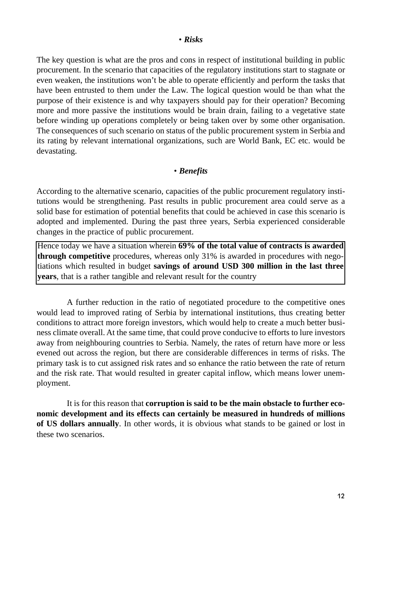The key question is what are the pros and cons in respect of institutional building in public procurement. In the scenario that capacities of the regulatory institutions start to stagnate or even weaken, the institutions won't be able to operate efficiently and perform the tasks that have been entrusted to them under the Law. The logical question would be than what the purpose of their existence is and why taxpayers should pay for their operation? Becoming more and more passive the institutions would be brain drain, failing to a vegetative state before winding up operations completely or being taken over by some other organisation. The consequences of such scenario on status of the public procurement system in Serbia and its rating by relevant international organizations, such are World Bank, EC etc. would be devastating.

#### • *Benefits*

According to the alternative scenario, capacities of the public procurement regulatory institutions would be strengthening. Past results in public procurement area could serve as a solid base for estimation of potential benefits that could be achieved in case this scenario is adopted and implemented. During the past three years, Serbia experienced considerable changes in the practice of public procurement.

Hence today we have a situation wherein **69% of the total value of contracts is awarded through competitive** procedures, whereas only 31% is awarded in procedures with negotiations which resulted in budget **savings of around USD 300 million in the last three years**, that is a rather tangible and relevant result for the country

A further reduction in the ratio of negotiated procedure to the competitive ones would lead to improved rating of Serbia by international institutions, thus creating better conditions to attract more foreign investors, which would help to create a much better business climate overall. At the same time, that could prove conducive to efforts to lure investors away from neighbouring countries to Serbia. Namely, the rates of return have more or less evened out across the region, but there are considerable differences in terms of risks. The primary task is to cut assigned risk rates and so enhance the ratio between the rate of return and the risk rate. That would resulted in greater capital inflow, which means lower unemployment.

It is for this reason that **corruption is said to be the main obstacle to further economic development and its effects can certainly be measured in hundreds of millions of US dollars annually**. In other words, it is obvious what stands to be gained or lost in these two scenarios.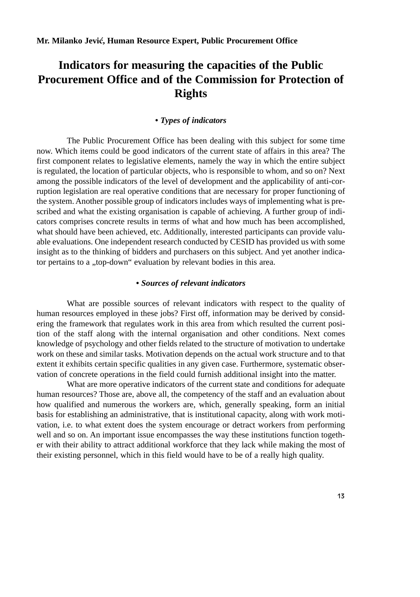## **Indicators for measuring the capacities of the Public Procurement Office and of the Commission for Protection of Rights**

#### *• Types of indicators*

The Public Procurement Office has been dealing with this subject for some time now. Which items could be good indicators of the current state of affairs in this area? The first component relates to legislative elements, namely the way in which the entire subject is regulated, the location of particular objects, who is responsible to whom, and so on? Next among the possible indicators of the level of development and the applicability of anti-corruption legislation are real operative conditions that are necessary for proper functioning of the system. Another possible group of indicators includes ways of implementing what is prescribed and what the existing organisation is capable of achieving. A further group of indicators comprises concrete results in terms of what and how much has been accomplished, what should have been achieved, etc. Additionally, interested participants can provide valuable evaluations. One independent research conducted by CESID has provided us with some insight as to the thinking of bidders and purchasers on this subject. And yet another indicator pertains to a "top-down" evaluation by relevant bodies in this area.

#### *• Sources of relevant indicators*

What are possible sources of relevant indicators with respect to the quality of human resources employed in these jobs? First off, information may be derived by considering the framework that regulates work in this area from which resulted the current position of the staff along with the internal organisation and other conditions. Next comes knowledge of psychology and other fields related to the structure of motivation to undertake work on these and similar tasks. Motivation depends on the actual work structure and to that extent it exhibits certain specific qualities in any given case. Furthermore, systematic observation of concrete operations in the field could furnish additional insight into the matter.

What are more operative indicators of the current state and conditions for adequate human resources? Those are, above all, the competency of the staff and an evaluation about how qualified and numerous the workers are, which, generally speaking, form an initial basis for establishing an administrative, that is institutional capacity, along with work motivation, i.e. to what extent does the system encourage or detract workers from performing well and so on. An important issue encompasses the way these institutions function together with their ability to attract additional workforce that they lack while making the most of their existing personnel, which in this field would have to be of a really high quality.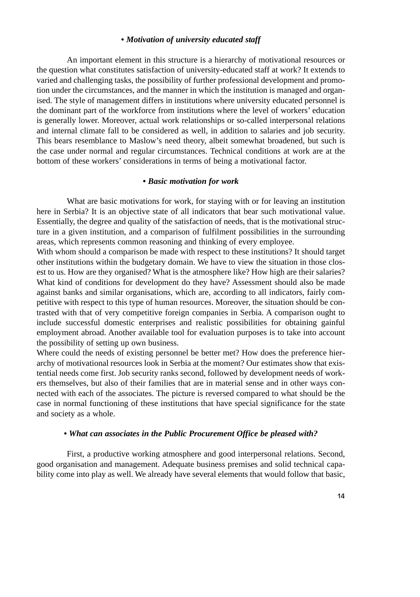#### *• Motivation of university educated staff*

An important element in this structure is a hierarchy of motivational resources or the question what constitutes satisfaction of university-educated staff at work? It extends to varied and challenging tasks, the possibility of further professional development and promotion under the circumstances, and the manner in which the institution is managed and organised. The style of management differs in institutions where university educated personnel is the dominant part of the workforce from institutions where the level of workers' education is generally lower. Moreover, actual work relationships or so-called interpersonal relations and internal climate fall to be considered as well, in addition to salaries and job security. This bears resemblance to Maslow's need theory, albeit somewhat broadened, but such is the case under normal and regular circumstances. Technical conditions at work are at the bottom of these workers' considerations in terms of being a motivational factor.

#### *• Basic motivation for work*

What are basic motivations for work, for staying with or for leaving an institution here in Serbia? It is an objective state of all indicators that bear such motivational value. Essentially, the degree and quality of the satisfaction of needs, that is the motivational structure in a given institution, and a comparison of fulfilment possibilities in the surrounding areas, which represents common reasoning and thinking of every employee.

With whom should a comparison be made with respect to these institutions? It should target other institutions within the budgetary domain. We have to view the situation in those closest to us. How are they organised? What is the atmosphere like? How high are their salaries? What kind of conditions for development do they have? Assessment should also be made against banks and similar organisations, which are, according to all indicators, fairly competitive with respect to this type of human resources. Moreover, the situation should be contrasted with that of very competitive foreign companies in Serbia. A comparison ought to include successful domestic enterprises and realistic possibilities for obtaining gainful employment abroad. Another available tool for evaluation purposes is to take into account the possibility of setting up own business.

Where could the needs of existing personnel be better met? How does the preference hierarchy of motivational resources look in Serbia at the moment? Our estimates show that existential needs come first. Job security ranks second, followed by development needs of workers themselves, but also of their families that are in material sense and in other ways connected with each of the associates. The picture is reversed compared to what should be the case in normal functioning of these institutions that have special significance for the state and society as a whole.

#### *• What can associates in the Public Procurement Office be pleased with?*

First, a productive working atmosphere and good interpersonal relations. Second, good organisation and management. Adequate business premises and solid technical capability come into play as well. We already have several elements that would follow that basic,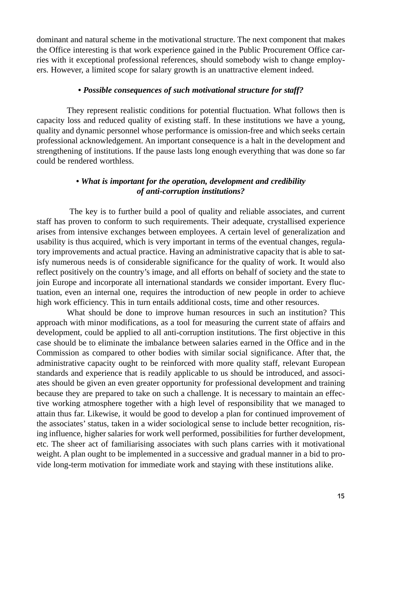dominant and natural scheme in the motivational structure. The next component that makes the Office interesting is that work experience gained in the Public Procurement Office carries with it exceptional professional references, should somebody wish to change employers. However, a limited scope for salary growth is an unattractive element indeed.

#### *• Possible consequences of such motivational structure for staff?*

They represent realistic conditions for potential fluctuation. What follows then is capacity loss and reduced quality of existing staff. In these institutions we have a young, quality and dynamic personnel whose performance is omission-free and which seeks certain professional acknowledgement. An important consequence is a halt in the development and strengthening of institutions. If the pause lasts long enough everything that was done so far could be rendered worthless.

## *• What is important for the operation, development and credibility of anti-corruption institutions?*

The key is to further build a pool of quality and reliable associates, and current staff has proven to conform to such requirements. Their adequate, crystallised experience arises from intensive exchanges between employees. A certain level of generalization and usability is thus acquired, which is very important in terms of the eventual changes, regulatory improvements and actual practice. Having an administrative capacity that is able to satisfy numerous needs is of considerable significance for the quality of work. It would also reflect positively on the country's image, and all efforts on behalf of society and the state to join Europe and incorporate all international standards we consider important. Every fluctuation, even an internal one, requires the introduction of new people in order to achieve high work efficiency. This in turn entails additional costs, time and other resources.

What should be done to improve human resources in such an institution? This approach with minor modifications, as a tool for measuring the current state of affairs and development, could be applied to all anti-corruption institutions. The first objective in this case should be to eliminate the imbalance between salaries earned in the Office and in the Commission as compared to other bodies with similar social significance. After that, the administrative capacity ought to be reinforced with more quality staff, relevant European standards and experience that is readily applicable to us should be introduced, and associates should be given an even greater opportunity for professional development and training because they are prepared to take on such a challenge. It is necessary to maintain an effective working atmosphere together with a high level of responsibility that we managed to attain thus far. Likewise, it would be good to develop a plan for continued improvement of the associates' status, taken in a wider sociological sense to include better recognition, rising influence, higher salaries for work well performed, possibilities for further development, etc. The sheer act of familiarising associates with such plans carries with it motivational weight. A plan ought to be implemented in a successive and gradual manner in a bid to provide long-term motivation for immediate work and staying with these institutions alike.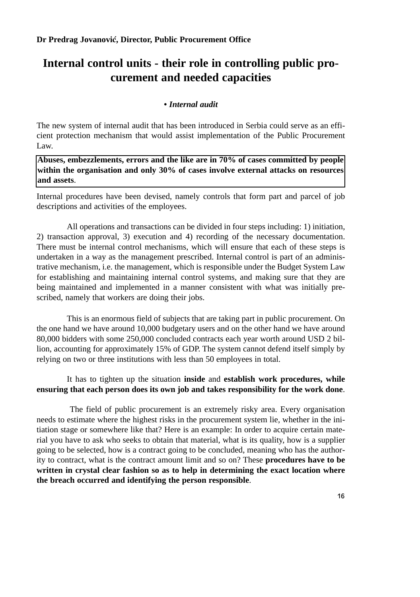# **Internal control units - their role in controlling public procurement and needed capacities**

## *• Internal audit*

The new system of internal audit that has been introduced in Serbia could serve as an efficient protection mechanism that would assist implementation of the Public Procurement  $L$ aw.

**Abuses, embezzlements, errors and the like are in 70% of cases committed by people within the organisation and only 30% of cases involve external attacks on resources and assets**.

Internal procedures have been devised, namely controls that form part and parcel of job descriptions and activities of the employees.

All operations and transactions can be divided in four steps including: 1) initiation, 2) transaction approval, 3) execution and 4) recording of the necessary documentation. There must be internal control mechanisms, which will ensure that each of these steps is undertaken in a way as the management prescribed. Internal control is part of an administrative mechanism, i.e. the management, which is responsible under the Budget System Law for establishing and maintaining internal control systems, and making sure that they are being maintained and implemented in a manner consistent with what was initially prescribed, namely that workers are doing their jobs.

This is an enormous field of subjects that are taking part in public procurement. On the one hand we have around 10,000 budgetary users and on the other hand we have around 80,000 bidders with some 250,000 concluded contracts each year worth around USD 2 billion, accounting for approximately 15% of GDP. The system cannot defend itself simply by relying on two or three institutions with less than 50 employees in total.

## It has to tighten up the situation **inside** and **establish work procedures, while ensuring that each person does its own job and takes responsibility for the work done**.

The field of public procurement is an extremely risky area. Every organisation needs to estimate where the highest risks in the procurement system lie, whether in the initiation stage or somewhere like that? Here is an example: In order to acquire certain material you have to ask who seeks to obtain that material, what is its quality, how is a supplier going to be selected, how is a contract going to be concluded, meaning who has the authority to contract, what is the contract amount limit and so on? These **procedures have to be written in crystal clear fashion so as to help in determining the exact location where the breach occurred and identifying the person responsible**.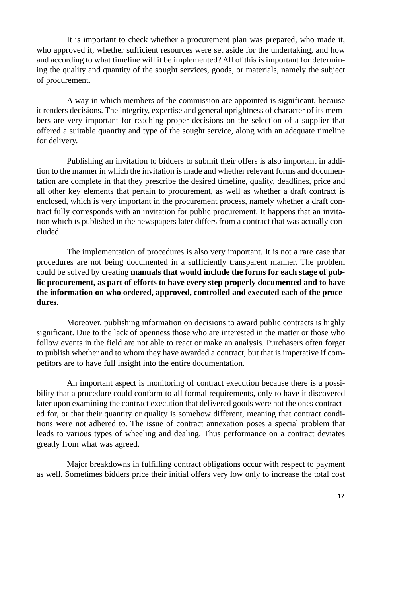It is important to check whether a procurement plan was prepared, who made it, who approved it, whether sufficient resources were set aside for the undertaking, and how and according to what timeline will it be implemented? All of this is important for determining the quality and quantity of the sought services, goods, or materials, namely the subject of procurement.

A way in which members of the commission are appointed is significant, because it renders decisions. The integrity, expertise and general uprightness of character of its members are very important for reaching proper decisions on the selection of a supplier that offered a suitable quantity and type of the sought service, along with an adequate timeline for delivery.

Publishing an invitation to bidders to submit their offers is also important in addition to the manner in which the invitation is made and whether relevant forms and documentation are complete in that they prescribe the desired timeline, quality, deadlines, price and all other key elements that pertain to procurement, as well as whether a draft contract is enclosed, which is very important in the procurement process, namely whether a draft contract fully corresponds with an invitation for public procurement. It happens that an invitation which is published in the newspapers later differs from a contract that was actually concluded.

The implementation of procedures is also very important. It is not a rare case that procedures are not being documented in a sufficiently transparent manner. The problem could be solved by creating **manuals that would include the forms for each stage of public procurement, as part of efforts to have every step properly documented and to have the information on who ordered, approved, controlled and executed each of the procedures**.

Moreover, publishing information on decisions to award public contracts is highly significant. Due to the lack of openness those who are interested in the matter or those who follow events in the field are not able to react or make an analysis. Purchasers often forget to publish whether and to whom they have awarded a contract, but that is imperative if competitors are to have full insight into the entire documentation.

An important aspect is monitoring of contract execution because there is a possibility that a procedure could conform to all formal requirements, only to have it discovered later upon examining the contract execution that delivered goods were not the ones contracted for, or that their quantity or quality is somehow different, meaning that contract conditions were not adhered to. The issue of contract annexation poses a special problem that leads to various types of wheeling and dealing. Thus performance on a contract deviates greatly from what was agreed.

Major breakdowns in fulfilling contract obligations occur with respect to payment as well. Sometimes bidders price their initial offers very low only to increase the total cost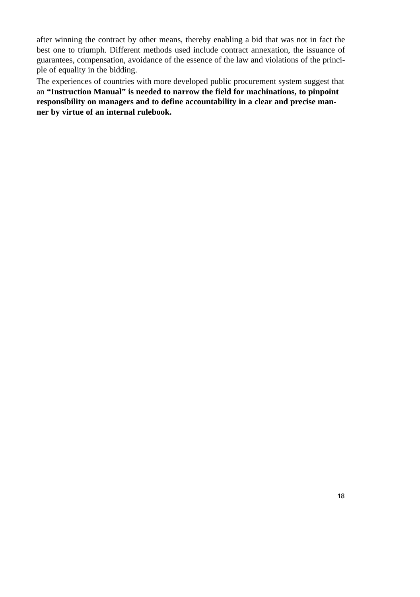after winning the contract by other means, thereby enabling a bid that was not in fact the best one to triumph. Different methods used include contract annexation, the issuance of guarantees, compensation, avoidance of the essence of the law and violations of the principle of equality in the bidding.

The experiences of countries with more developed public procurement system suggest that an **"Instruction Manual" is needed to narrow the field for machinations, to pinpoint responsibility on managers and to define accountability in a clear and precise manner by virtue of an internal rulebook.**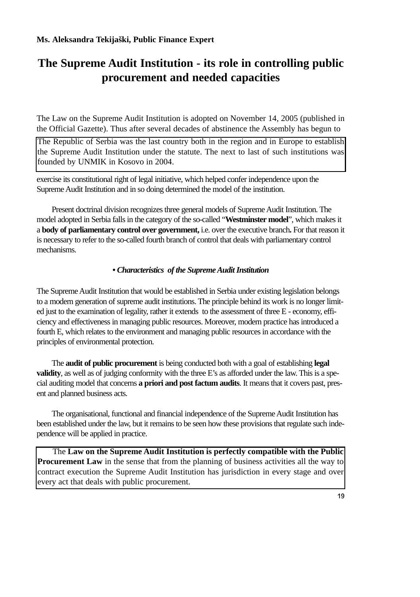# **The Supreme Audit Institution - its role in controlling public procurement and needed capacities**

The Law on the Supreme Audit Institution is adopted on November 14, 2005 (published in the Official Gazette). Thus after several decades of abstinence the Assembly has begun to

The Republic of Serbia was the last country both in the region and in Europe to establish the Supreme Audit Institution under the statute. The next to last of such institutions was founded by UNMIK in Kosovo in 2004.

exercise its constitutional right of legal initiative, which helped confer independence upon the Supreme Audit Institution and in so doing determined the model of the institution.

Present doctrinal division recognizes three general models of Supreme Audit Institution. The model adopted in Serbia falls in the category of the so-called "**Westminster model**", which makes it a **body of parliamentary control over government,** i.e. over the executive branch**.** For that reason it is necessary to refer to the so-called fourth branch of control that deals with parliamentary control mechanisms.

#### *• Characteristics of the Supreme Audit Institution*

The Supreme Audit Institution that would be established in Serbia under existing legislation belongs to a modern generation of supreme audit institutions. The principle behind its work is no longer limited just to the examination of legality, rather it extends to the assessment of three E - economy, efficiency and effectiveness in managing public resources. Moreover, modern practice has introduced a fourth E, which relates to the environment and managing public resources in accordance with the principles of environmental protection.

The **audit of public procurement** is being conducted both with a goal of establishing **legal validity**, as well as of judging conformity with the three E's as afforded under the law. This is a special auditing model that concerns **a priori and post factum audits**. It means that it covers past, present and planned business acts.

The organisational, functional and financial independence of the Supreme Audit Institution has been established under the law, but it remains to be seen how these provisions that regulate such independence will be applied in practice.

The **Law on the Supreme Audit Institution is perfectly compatible with the Public Procurement Law** in the sense that from the planning of business activities all the way to contract execution the Supreme Audit Institution has jurisdiction in every stage and over every act that deals with public procurement.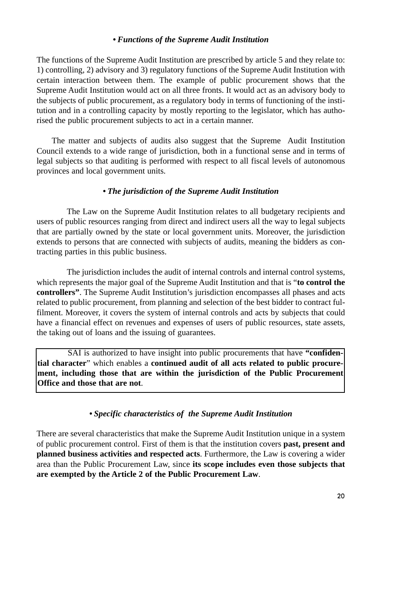#### *• Functions of the Supreme Audit Institution*

The functions of the Supreme Audit Institution are prescribed by article 5 and they relate to: 1) controlling, 2) advisory and 3) regulatory functions of the Supreme Audit Institution with certain interaction between them. The example of public procurement shows that the Supreme Audit Institution would act on all three fronts. It would act as an advisory body to the subjects of public procurement, as a regulatory body in terms of functioning of the institution and in a controlling capacity by mostly reporting to the legislator, which has authorised the public procurement subjects to act in a certain manner.

The matter and subjects of audits also suggest that the Supreme Audit Institution Council extends to a wide range of jurisdiction, both in a functional sense and in terms of legal subjects so that auditing is performed with respect to all fiscal levels of autonomous provinces and local government units.

#### *• The jurisdiction of the Supreme Audit Institution*

The Law on the Supreme Audit Institution relates to all budgetary recipients and users of public resources ranging from direct and indirect users all the way to legal subjects that are partially owned by the state or local government units. Moreover, the jurisdiction extends to persons that are connected with subjects of audits, meaning the bidders as contracting parties in this public business.

The jurisdiction includes the audit of internal controls and internal control systems, which represents the major goal of the Supreme Audit Institution and that is "**to control the controllers"**. The Supreme Audit Institution's jurisdiction encompasses all phases and acts related to public procurement, from planning and selection of the best bidder to contract fulfilment. Moreover, it covers the system of internal controls and acts by subjects that could have a financial effect on revenues and expenses of users of public resources, state assets, the taking out of loans and the issuing of guarantees.

SAI is authorized to have insight into public procurements that have **"confidential character**" which enables a **continued audit of all acts related to public procurement, including those that are within the jurisdiction of the Public Procurement Office and those that are not**.

## *• Specific characteristics of the Supreme Audit Institution*

There are several characteristics that make the Supreme Audit Institution unique in a system of public procurement control. First of them is that the institution covers **past, present and planned business activities and respected acts**. Furthermore, the Law is covering a wider area than the Public Procurement Law, since **its scope includes even those subjects that are exempted by the Article 2 of the Public Procurement Law**.